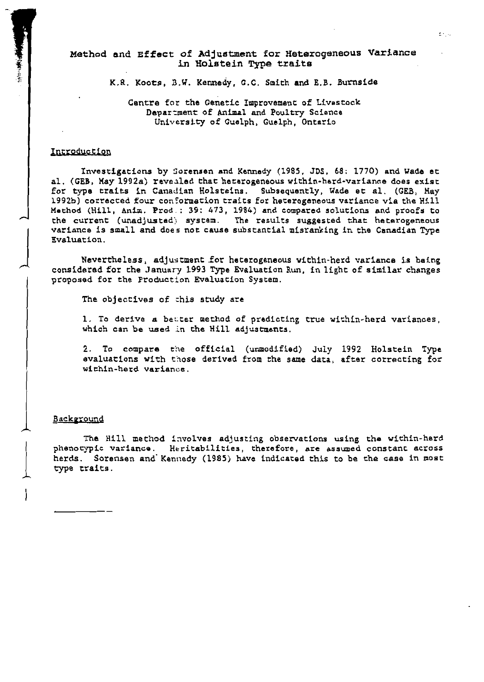Method and Effect of Adjustment for Heterogeneous Variance in Holstein Type traits

K.R. Koots, B.W. Kennedy, G.C. Smith and E.B. Burnside

Cantre for the Genetic Improvement of Livestock Department of Animal and Poultry Science University of Guelph, Guelph, Ontario

#### Introduction

Investigations by Sorensen and Kennedy (1985, JDS, 68; 1770) and Wade et al. (GEB, May 1992a) revealed that heterogeneous within-herd-variance does exist for type traits in Canadian Holsteins. Subsequently, Wade et al. (GEB, May 1992b) corrected four conformation traits for heterogeneous variance via the Hill Method (Hill, Anim. Prod.: 39: 473, 1984) and compared solutions and proofs to the current (unadjusted) system. The results suggested that heterogeneous variance is small and does not cause substantial misranking in the Canadian Type Evaluation.

Nevertheless, adjustment for heterogeneous within-herd variance is being considered for the January 1993 Type Evaluation Run, in light of similar changes proposed for the Production Evaluation System.

The objectives of this study are

1. To derive a better method of predicting true within-herd variances, which can be used in the Hill adjustments.

2. To compare the official (unmodified) July 1992 Holstein Type evaluations with those derived from the same data, after correcting for within-herd variance.

#### Background

The Hill method involves adjusting observations using the within-herd phenotypic variance. Heritabilities, therefore, are assumed constant across herds. Sorensen and Kennedy (1985) have indicated this to be the case in most type traits.

≵riju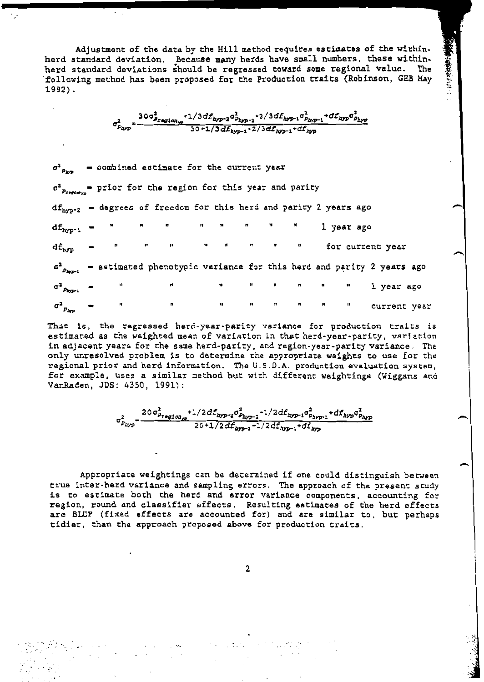Adjustment of the data by the Hill method requires estimates of the withinherd standard deviation. Because many herds have small numbers, these withinherd standard deviations should be regressed toward some regional value. The following method has been proposed for the Production traits (Robinson, GEB May  $1992$ .

 $\frac{30\sigma_{P_{x\texttt{eq} 1\texttt{on}}p}^2 + 1/3df_{hyp-2}\sigma_{p_{hyp-2}}^2 + 2/3df_{hyp-1}\sigma_{p_{hyp-1}}^2 + df_{hyp}\sigma_{p_{hyp}}^2}{30 + 1/3df_{hyp-1} + 2/3df_{hyp-1} + df_{hyp}}$ 

 $\sigma^2_{P_{\lambda\gamma p}}$ - combined estimate for the current year  $\sigma_{\text{Presto}}^2$  = prior for the region for this year and parity df<sub>hyp-2</sub> - degrees of freedom for this herd and parity 2 years ago  $\mathrm{df}_{\mathrm{hyp}^{-1}}$ 1 year ago  $df_{hyp}$ for current year  $\sigma^2$ <sub>Parr-2</sub> - estimated phenotypic variance for this herd and parity 2 years ago  $\sigma^2$  Payr<sup>1</sup> 1 year ago  $\sigma^2_{~p_{\Delta\!/\!p}}$ current year

That is, the regressed herd-year-parity variance for production traits is estimated as the weighted mean of variation in that herd-year-parity, variation in adjacent years for the same herd-parity, and region-year-parity variance. The only unresolved problem is to determine the appropriate weights to use for the regional prior and herd information. The U.S.D.A. production evaluation system, for example, uses a similar method but with different weightings (Wiggans and VanRaden, JDS: 4350, 1991):

$$
\sigma_{p_{\text{hyp}}}^2 = \frac{20 \sigma_{p_{\text{region}}p}^2 + 1/2 d f_{\text{hyp-2}} \sigma_{p_{\text{hyp-2}}}^2 + 1/2 d f_{\text{hyp-1}} \sigma_{p_{\text{hyp-1}}}^2 + d f_{\text{hyp}} \sigma_{p_{\text{hyp}}}^2}{20 + 1/2 d f_{\text{hyp-2}} + 1/2 d f_{\text{hyp-1}} + d f_{\text{imp}}}
$$

Appropriate weightings can be determined if one could distinguish between true inter-herd variance and sampling errors. The approach of the present study is to estimate both the herd and error variance components, accounting for region, round and classifier effects. Resulting estimates of the herd effects are BLUP (fixed effects are accounted for) and are similar to, but perhaps tidier, than the approach proposed above for production traits.

 $\overline{2}$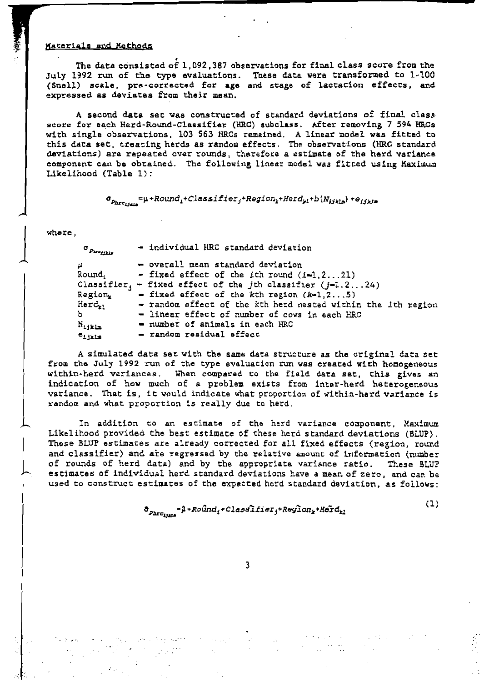#### Materials and Methods

The data consisted of 1,092,387 observations for final class score from the July 1992 run of the type evaluations. These data were transformed to 1-100 (Snell) scale, pre-corrected for age and stage of lactation effects, and expressed as deviates from their mean.

A second data set was constructed of standard deviations of final class score for each Herd-Round-Classifier (HRC) subclass. After removing 7 594 HRCs with single observations, 103 563 HRCs remained. A linear model was fitted to this data set, treating herds as random effects. The observations (HRC standard deviations) are repeated over rounds, therefore a estimate of the herd variance component can be obtained. The following linear model was fitted using Maximum Likelihood (Table 1):

 $\sigma_{p_{\texttt{hrc}_{j j k l s}}} = \mu + \textit{Round}_{i} + \textit{Classifier}_{j} + \textit{Region}_{k} + \textit{Herc}_{k l} + b\left(N_{i j k l s}\right) + o_{i j k l s}$ 

where,

| $\sigma_{p_{\texttt{key}}},$ | - individual HRC standard deviation                          |
|------------------------------|--------------------------------------------------------------|
|                              | - overall mean standard deviation                            |
| Round,                       | - fixed effect of the ith round $(i-1, 2, \ldots, 21)$       |
| Classifier,                  | - fixed effect of the jth classifier $(j-1,2,,24)$           |
| <b>Region<sub>r</sub></b>    | $=$ fixed effect of the kth region $(k-1, 25)$               |
| Herd <sub>e</sub> ,          | - random effect of the kth herd nested within the 1th region |
| ь.                           | - linear effect of number of cows in each HRC                |
| N<br>alikla                  | - number of animals in each HRC                              |
| $e_{i}$ it is                | - random residual effect                                     |

A simulated data set with the same data structure as the original data set from the July 1992 run of the type evaluation run was created with homogeneous within-herd variances. When compared to the field data set, this gives an indication of how much of a problem exists from inter-herd heterogeneous variance. That is, it would indicate what proportion of within-herd variance is random and what proportion is really due to herd.

In addition to an estimate of the herd variance component, Maximum Likelihood provided the best estimate of these herd standard deviations (BLUP). These BLUP estimates are already corrected for all fixed effects (region, round and classifier) and are regressed by the relative amount of information (number of rounds of herd data) and by the appropriate variance ratio. These BLUP estimates of individual herd standard deviations have a mean of zero, and can be used to construct estimates of the expected herd standard deviation, as follows:

$$
\delta_{p_{\text{hrc}_{i\text{min}}}} = \beta + \text{Ro}\hat{\text{u}}_{\text{nd}_i} + \text{Classific}_{\text{r}_j} + \text{Region}_{k} + \text{Herd}_{k1}
$$

3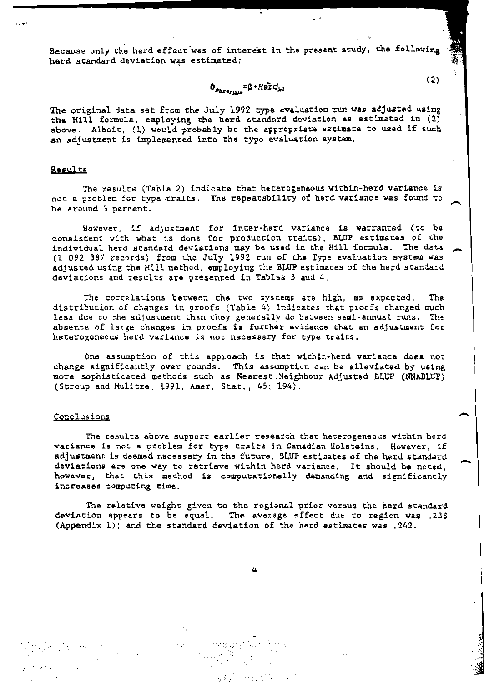Because only the herd effect was of interest in the present study, the following herd standard deviation was estimated:

### $\mathbf{\hat{o}}_{p_{\mathbf{h}\mathbf{r}\sigma_{i1212}}}\textbf{=}\mathbf{\hat{\mu}}\textbf{+}H\tilde{\mathbf{e}\mathbf{\tilde{r}}}\mathbf{d}_{kl}$

The original data set from the July 1992 type evaluation run was adjusted using the Hill formula, employing the herd standard deviation as estimated in (2) above. Albait, (1) would probably be the appropriate estimate to used if such an adjustment is implemented into the type evaluation system.

#### Results

The results (Table 2) indicate that heterogeneous within-herd variance is not a problem for type traits. The repeatability of herd variance was found to be around 3 percent.

However, if adjustment for inter-herd variance is warranted (to be consistent with what is done for production traits), BLUP estimates of the individual herd standard deviations may be used in the Hill formula. The data (1 092 387 records) from the July 1992 run of the Type evaluation system was adjusted using the Hill method, employing the BLUP estimates of the herd standard deviations and results are presented in Tables 3 and 4.

The correlations between the two systems are high, as expected. The . distribution of changes in proofs (Table 4) indicates that proofs changed much less due to the adjustment than they generally do between semi-annual runs. The absence of large changes in proofs is further evidence that an adjustment for heterogeneous herd variance is not necessary for type traits.

One assumption of this approach is that within-herd variance does not change significantly over rounds. This assumption can be alleviated by using more sophisticated methods such as Nearest Neighbour Adjusted BLUP (NNABLUP) (Stroup and Mulitze, 1991, Amer. Stat., 45: 194).

#### Conclusions

The results above support earlier research that heterogeneous within herd variance is not a problem for type traits in Canadian Holsteins. However, if adjustment is deemed necessary in the future, BLUP estimates of the herd standard deviations are one way to retrieve within herd variance. It should be noted, however, that this method is computationally demanding and significantly increases computing time.

The ralative weight given to the regional prior versus the herd standard deviation appears to be equal. The average effect due to region was .238 (Appendix 1); and the standard deviation of the hard estimates was . 242.

 $(2)$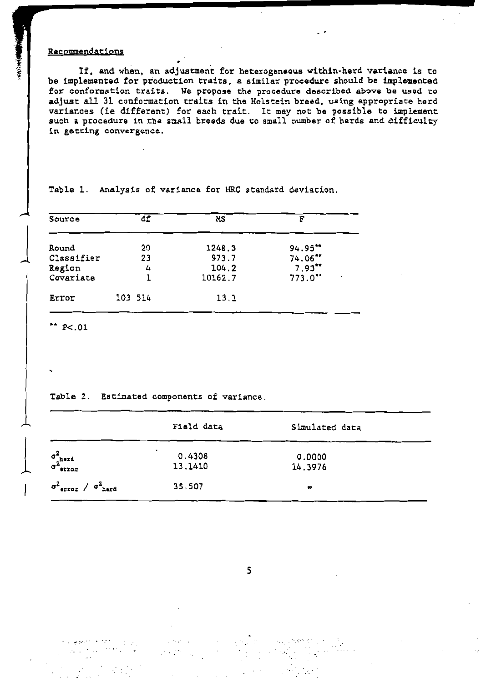### Recommendations

If, and when, an adjustment for heterogeneous within-herd variance is to be implemented for production traits, a similar procedure should be implemented for conformation traits. We propose the procedure described above be used to adjust all 31 conformation traits in the Holstein breed, using appropriate herd variances (ie different) for each trait. It may not be possible to implement such a procedure in the small breeds due to small number of herds and difficulty in getting convergence.

| Source                                     | df            | МS                                  | F                                                                         |  |
|--------------------------------------------|---------------|-------------------------------------|---------------------------------------------------------------------------|--|
| Round<br>Classifier<br>Region<br>Covariate | 20<br>23<br>4 | 1248.3<br>973.7<br>104.2<br>10162.7 | 94.95'''<br>74.06**<br>$7.93**$<br>$773.0$ **<br>$\overline{\phantom{a}}$ |  |
| Error                                      | 103 514       | 13.1                                |                                                                           |  |

Table 1. Analysis of variance for HRC standard deviation.

\*\*  $P < 01$ 

Kungsam Kitati (Unive

Table 2. Estimated components of variance.

 $\sim 10^{11}$  m  $^{-1}$ 

|                                                          | Field data             | Simulated data    |
|----------------------------------------------------------|------------------------|-------------------|
| $\sigma^2_{\text{hard}}$<br>error                        | ٠<br>0.4308<br>13.1410 | 0.0000<br>14.3976 |
| $\sigma^2$ <sub>error</sub> / $\sigma^2$ <sub>herd</sub> | 35,507                 | $\bullet$         |

5

医血管麻醉 医白色

 $\mathcal{L}^{\text{max}}_{\text{max}}$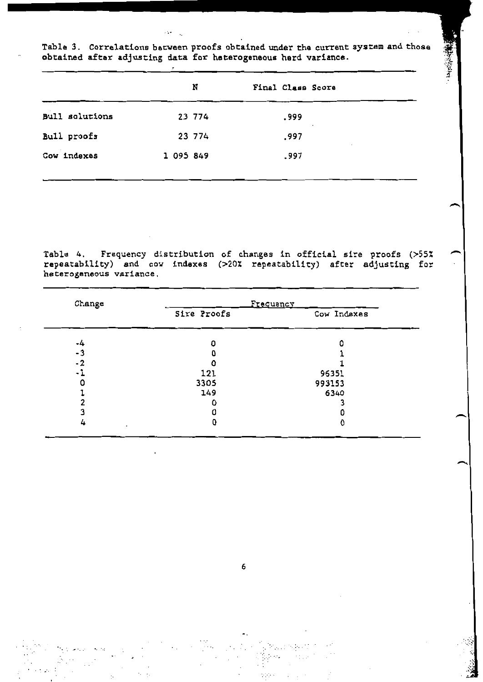Table 3. Correlations between proofs obtained under the current system and those obtained after adjusting data for heterogeneous herd variance.

くちんじょう

 $\sim$  14

 $\cdot$ 

|                       | N         | Final Class Score |  |
|-----------------------|-----------|-------------------|--|
| <b>Bull solutions</b> | 23 774    | .999              |  |
| Bull proofs           | 23 774    | .997              |  |
| Cow indexes           | 1 095 849 | .997              |  |

Table 4. Frequency distribution of changes in official sire proofs (>55% repeatability) and cow indexes (>20% repeatability) after adjusting for heterogeneous variance.

| Change |             | Frequency   |
|--------|-------------|-------------|
|        | Sire Proofs | Cow Indexes |
| -4     | O           |             |
| - 3    | O           |             |
| $-2$   |             |             |
| - 1    | 121         | 96351       |
|        | 3305        | 993153      |
|        | 149         | 6340        |
|        |             |             |
|        |             |             |
| 4      | 0           | 0           |

6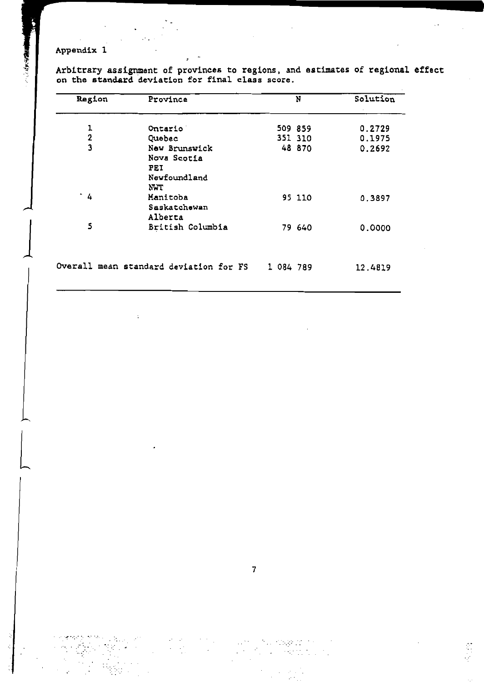### Appendix 1

1年3月1日

Arbitrary assignment of provinces to regions, and estimates of regional effect on the standard deviation for final class score.

| Region                  | Province                                                   |           | N       | Solution |
|-------------------------|------------------------------------------------------------|-----------|---------|----------|
| 1                       | Ontario                                                    |           | 509 859 | 0.2729   |
| $\overline{2}$          | Quebec                                                     |           | 351 310 | 0.1975   |
| $\overline{\mathbf{3}}$ | New Brunswick<br>Nova Scotia<br>PEI<br>Newfoundland<br>NWT |           | 48 870  | 0.2692   |
| $\cdot$ 4               | Manitoba<br>Saskatchewan<br>Alberta                        |           | 95 110  | 0.3897   |
| 5                       | British Columbia                                           |           | 79 640  | 0.0000   |
|                         | Overall mean standard deviation for FS                     | 1 084 789 |         | 12.4819  |

erang menunjuk pan the control of the control of the stage at the con-

 $\ddot{\phantom{a}}$ 

 $\label{eq:2} \frac{1}{\sqrt{2}}\left(\frac{1}{2}\right)^{2}=\frac{1}{2}\left(\frac{1}{2}\right)^{2}$  $\epsilon$ Ť, ₹.<br>∑

Ş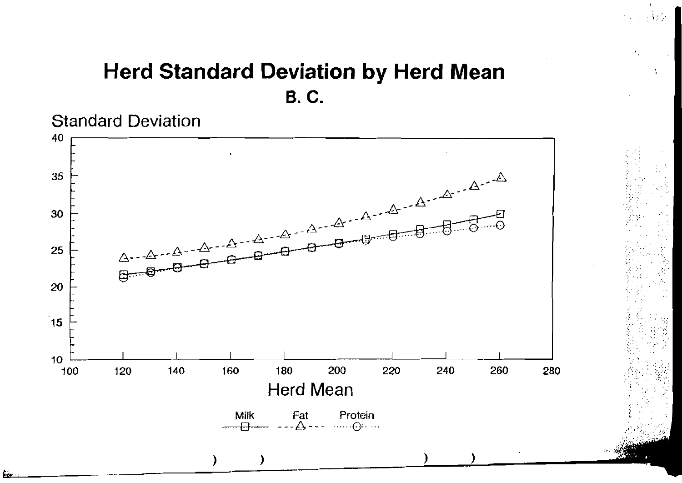## **Herd Standard Deviation by Herd Mean B.C.**

**Standard Deviation** 

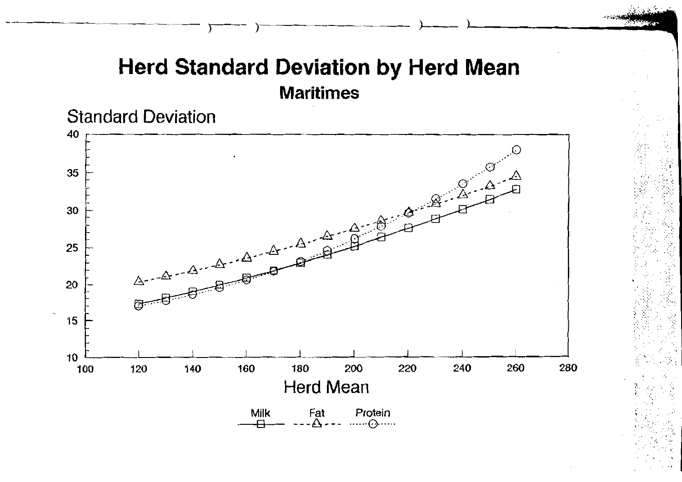# **Herd Standard Deviation by Herd Mean Maritimes**



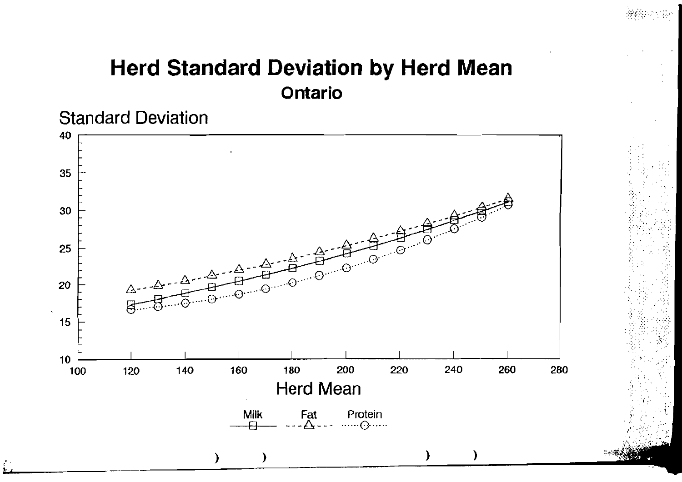# Herd Standard Deviation by Herd Mean **Ontario**



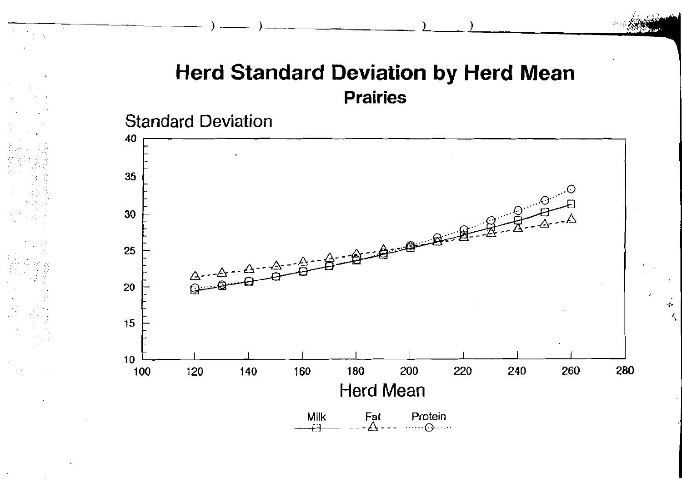### Herd Standard Deviation by Herd Mean Prairies



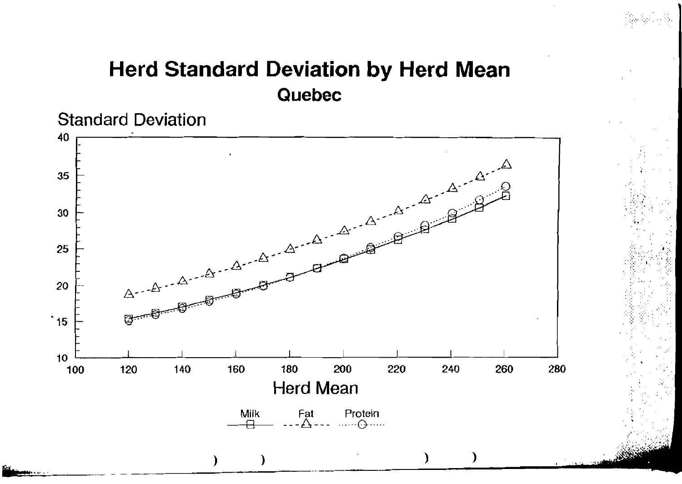# Herd Standard Deviation by Herd Mean Quebec



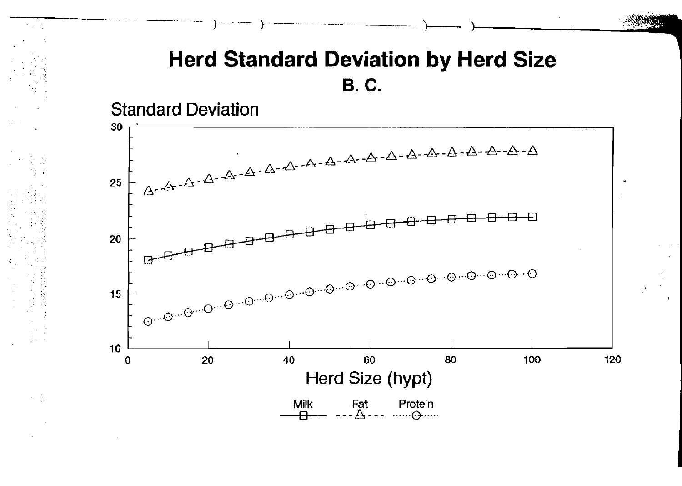## **Herd Standard Deviation by Herd Size B.C.**

**Standard Deviation** 

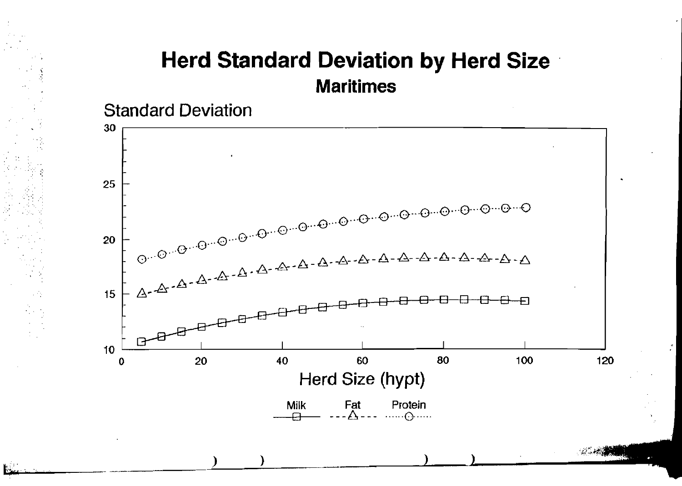# Herd Standard Deviation by Herd Size Maritimes

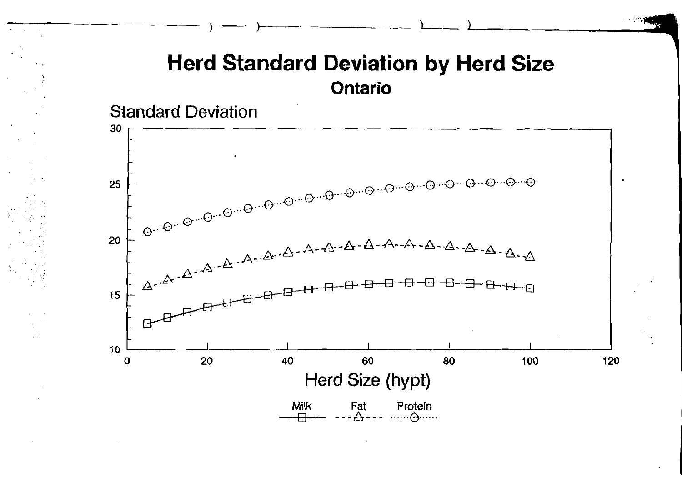### **Herd Standard Deviation by Herd Size** Ontario



**Milk**  $FA. A.$ Protein  $\ldots \ldots \ldots$ 

120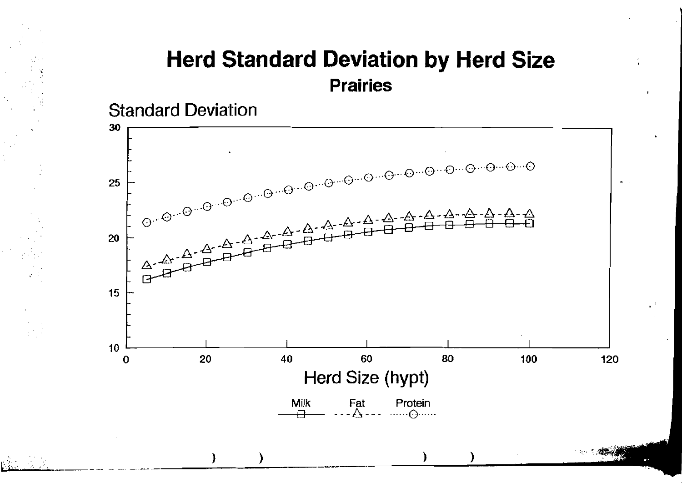### **Herd Standard Deviation by Herd Size Prairies**